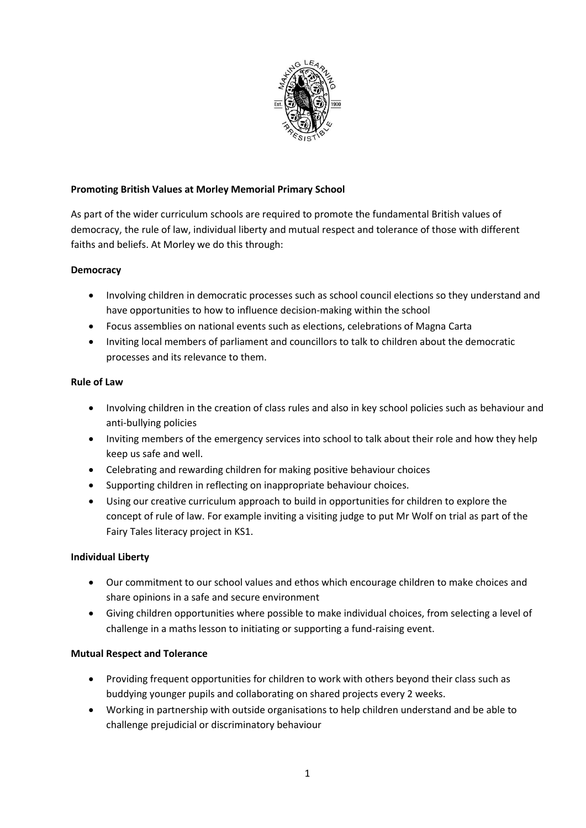

### **Promoting British Values at Morley Memorial Primary School**

As part of the wider curriculum schools are required to promote the fundamental British values of democracy, the rule of law, individual liberty and mutual respect and tolerance of those with different faiths and beliefs. At Morley we do this through:

## **Democracy**

- Involving children in democratic processes such as school council elections so they understand and have opportunities to how to influence decision-making within the school
- Focus assemblies on national events such as elections, celebrations of Magna Carta
- Inviting local members of parliament and councillors to talk to children about the democratic processes and its relevance to them.

### **Rule of Law**

- Involving children in the creation of class rules and also in key school policies such as behaviour and anti-bullying policies
- Inviting members of the emergency services into school to talk about their role and how they help keep us safe and well.
- Celebrating and rewarding children for making positive behaviour choices
- Supporting children in reflecting on inappropriate behaviour choices.
- Using our creative curriculum approach to build in opportunities for children to explore the concept of rule of law. For example inviting a visiting judge to put Mr Wolf on trial as part of the Fairy Tales literacy project in KS1.

# **Individual Liberty**

- Our commitment to our school values and ethos which encourage children to make choices and share opinions in a safe and secure environment
- Giving children opportunities where possible to make individual choices, from selecting a level of challenge in a maths lesson to initiating or supporting a fund-raising event.

### **Mutual Respect and Tolerance**

- Providing frequent opportunities for children to work with others beyond their class such as buddying younger pupils and collaborating on shared projects every 2 weeks.
- Working in partnership with outside organisations to help children understand and be able to challenge prejudicial or discriminatory behaviour